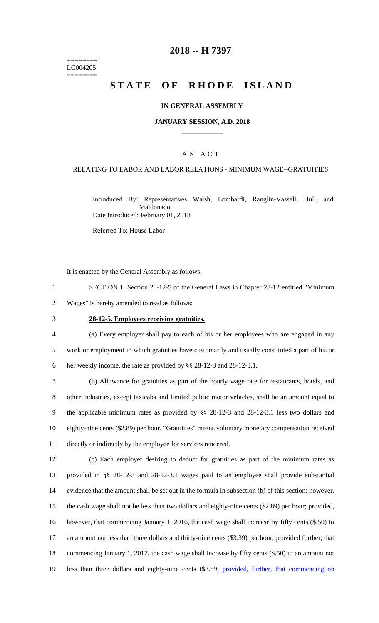======== LC004205 ========

# **2018 -- H 7397**

# **STATE OF RHODE ISLAND**

### **IN GENERAL ASSEMBLY**

### **JANUARY SESSION, A.D. 2018 \_\_\_\_\_\_\_\_\_\_\_\_**

### A N A C T

### RELATING TO LABOR AND LABOR RELATIONS - MINIMUM WAGE--GRATUITIES

Introduced By: Representatives Walsh, Lombardi, Ranglin-Vassell, Hull, and Maldonado Date Introduced: February 01, 2018

Referred To: House Labor

It is enacted by the General Assembly as follows:

- 1 SECTION 1. Section 28-12-5 of the General Laws in Chapter 28-12 entitled "Minimum 2 Wages" is hereby amended to read as follows:
- 

#### 3 **28-12-5. Employees receiving gratuities.**

4 (a) Every employer shall pay to each of his or her employees who are engaged in any 5 work or employment in which gratuities have customarily and usually constituted a part of his or 6 her weekly income, the rate as provided by §§ 28-12-3 and 28-12-3.1.

 (b) Allowance for gratuities as part of the hourly wage rate for restaurants, hotels, and other industries, except taxicabs and limited public motor vehicles, shall be an amount equal to the applicable minimum rates as provided by §§ 28-12-3 and 28-12-3.1 less two dollars and eighty-nine cents (\$2.89) per hour. "Gratuities" means voluntary monetary compensation received directly or indirectly by the employee for services rendered.

 (c) Each employer desiring to deduct for gratuities as part of the minimum rates as provided in §§ 28-12-3 and 28-12-3.1 wages paid to an employee shall provide substantial evidence that the amount shall be set out in the formula in subsection (b) of this section; however, the cash wage shall not be less than two dollars and eighty-nine cents (\$2.89) per hour; provided, however, that commencing January 1, 2016, the cash wage shall increase by fifty cents (\$.50) to an amount not less than three dollars and thirty-nine cents (\$3.39) per hour; provided further, that commencing January 1, 2017, the cash wage shall increase by fifty cents (\$.50) to an amount not 19 less than three dollars and eighty-nine cents (\$3.89; provided, further, that commencing on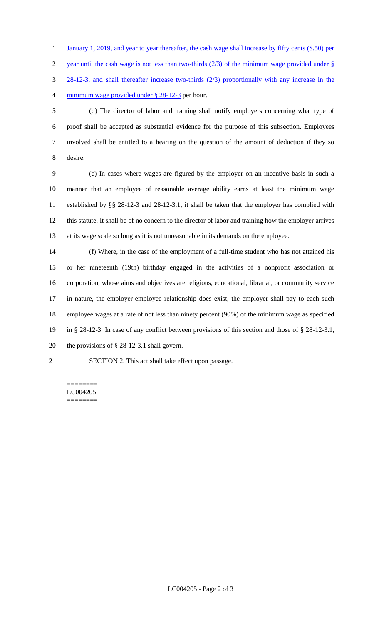1 January 1, 2019, and year to year thereafter, the cash wage shall increase by fifty cents (\$.50) per

2 year until the cash wage is not less than two-thirds  $(2/3)$  of the minimum wage provided under §

28-12-3, and shall thereafter increase two-thirds (2/3) proportionally with any increase in the

minimum wage provided under § 28-12-3 per hour.

 (d) The director of labor and training shall notify employers concerning what type of proof shall be accepted as substantial evidence for the purpose of this subsection. Employees involved shall be entitled to a hearing on the question of the amount of deduction if they so desire.

 (e) In cases where wages are figured by the employer on an incentive basis in such a manner that an employee of reasonable average ability earns at least the minimum wage established by §§ 28-12-3 and 28-12-3.1, it shall be taken that the employer has complied with this statute. It shall be of no concern to the director of labor and training how the employer arrives at its wage scale so long as it is not unreasonable in its demands on the employee.

 (f) Where, in the case of the employment of a full-time student who has not attained his or her nineteenth (19th) birthday engaged in the activities of a nonprofit association or corporation, whose aims and objectives are religious, educational, librarial, or community service in nature, the employer-employee relationship does exist, the employer shall pay to each such employee wages at a rate of not less than ninety percent (90%) of the minimum wage as specified in § 28-12-3. In case of any conflict between provisions of this section and those of § 28-12-3.1, the provisions of § 28-12-3.1 shall govern.

SECTION 2. This act shall take effect upon passage.

#### ======== LC004205 ========